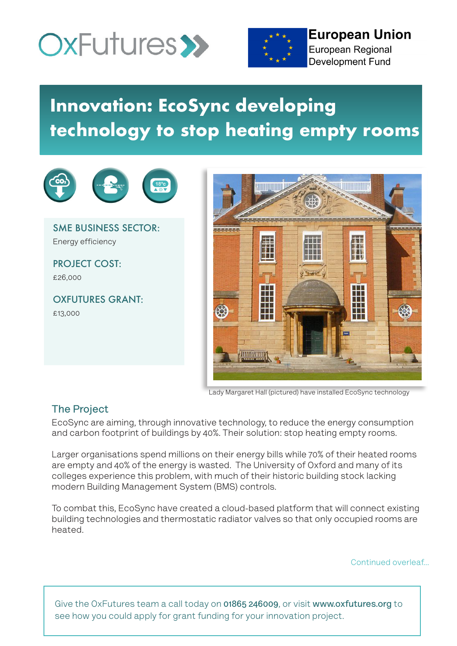



**European Union European Regional Development Fund** 

## **Innovation: EcoSync developing technology to stop heating empty rooms**





Lady Margaret Hall (pictured) have installed EcoSync technology

## **The Project**

EcoSync are aiming, through innovative technology, to reduce the energy consumption and carbon footprint of buildings by 40%. Their solution: stop heating empty rooms.

Larger organisations spend millions on their energy bills while 70% of their heated rooms are empty and 40% of the energy is wasted. The University of Oxford and many of its colleges experience this problem, with much of their historic building stock lacking modern Building Management System (BMS) controls.

To combat this, EcoSync have created a cloud-based platform that will connect existing building technologies and thermostatic radiator valves so that only occupied rooms are heated.

Continued overleaf...

Give the OxFutures team a call today on **01865 246009**, or visit **www.oxfutures.org** to see how you could apply for grant funding for your innovation project.